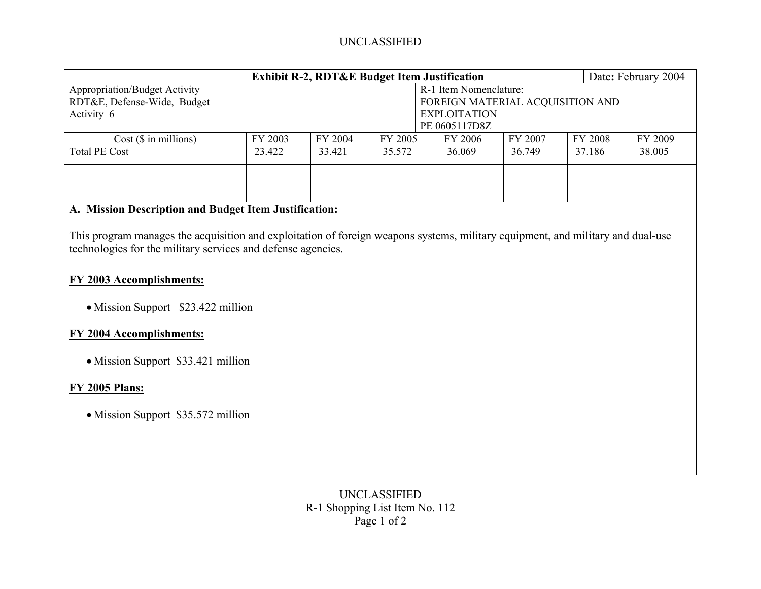# UNCLASSIFIED

| <b>Exhibit R-2, RDT&amp;E Budget Item Justification</b> |                     |         |         |               |                                  |         |         | Date: February 2004 |  |
|---------------------------------------------------------|---------------------|---------|---------|---------------|----------------------------------|---------|---------|---------------------|--|
| <b>Appropriation/Budget Activity</b>                    |                     |         |         |               | R-1 Item Nomenclature:           |         |         |                     |  |
| RDT&E, Defense-Wide, Budget                             |                     |         |         |               | FOREIGN MATERIAL ACQUISITION AND |         |         |                     |  |
| Activity 6                                              | <b>EXPLOITATION</b> |         |         |               |                                  |         |         |                     |  |
|                                                         |                     |         |         | PE 0605117D8Z |                                  |         |         |                     |  |
| $Cost$ ( $\$\$ in millions)                             | FY 2003             | FY 2004 | FY 2005 |               | FY 2006                          | FY 2007 | FY 2008 | FY 2009             |  |
| <b>Total PE Cost</b>                                    | 23.422              | 33.421  | 35.572  |               | 36.069                           | 36.749  | 37.186  | 38.005              |  |
|                                                         |                     |         |         |               |                                  |         |         |                     |  |
|                                                         |                     |         |         |               |                                  |         |         |                     |  |
|                                                         |                     |         |         |               |                                  |         |         |                     |  |

### **A. Mission Description and Budget Item Justification:**

This program manages the acquisition and exploitation of foreign weapons systems, military equipment, and military and dual-use technologies for the military services and defense agencies.

### **FY 2003 Accomplishments:**

• Mission Support \$23.422 million

## **FY 2004 Accomplishments:**

• Mission Support \$33.421 million

### **FY 2005 Plans:**

• Mission Support \$35.572 million

UNCLASSIFIED R-1 Shopping List Item No. 112 Page 1 of 2